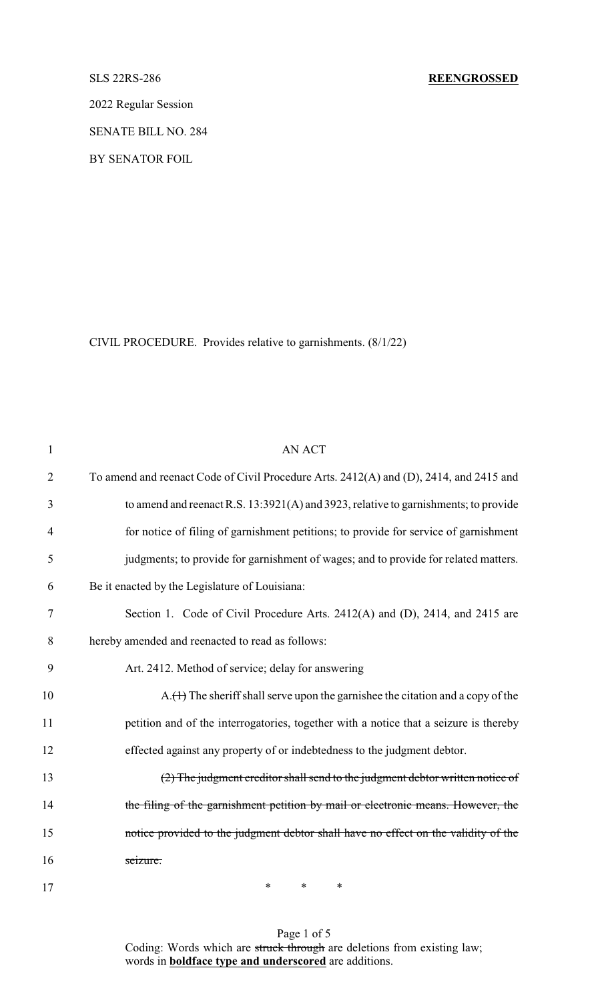2022 Regular Session

SENATE BILL NO. 284

BY SENATOR FOIL

CIVIL PROCEDURE. Provides relative to garnishments. (8/1/22)

| $\mathbf{1}$   | <b>AN ACT</b>                                                                          |
|----------------|----------------------------------------------------------------------------------------|
| $\overline{2}$ | To amend and reenact Code of Civil Procedure Arts. 2412(A) and (D), 2414, and 2415 and |
| 3              | to amend and reenact R.S. 13:3921(A) and 3923, relative to garnishments; to provide    |
| $\overline{4}$ | for notice of filing of garnishment petitions; to provide for service of garnishment   |
| 5              | judgments; to provide for garnishment of wages; and to provide for related matters.    |
| 6              | Be it enacted by the Legislature of Louisiana:                                         |
| 7              | Section 1. Code of Civil Procedure Arts. 2412(A) and (D), 2414, and 2415 are           |
| 8              | hereby amended and reenacted to read as follows:                                       |
| 9              | Art. 2412. Method of service; delay for answering                                      |
| 10             | $A.$ The sheriff shall serve upon the garnishee the citation and a copy of the         |
| 11             | petition and of the interrogatories, together with a notice that a seizure is thereby  |
| 12             | effected against any property of or indebtedness to the judgment debtor.               |
| 13             | (2) The judgment creditor shall send to the judgment debtor written notice of          |
| 14             | the filing of the garnishment petition by mail or electronic means. However, the       |
| 15             | notice provided to the judgment debtor shall have no effect on the validity of the     |
| 16             | seizure.                                                                               |
|                |                                                                                        |

Page 1 of 5 Coding: Words which are struck through are deletions from existing law; words in **boldface type and underscored** are additions.

17 \* \* \* \*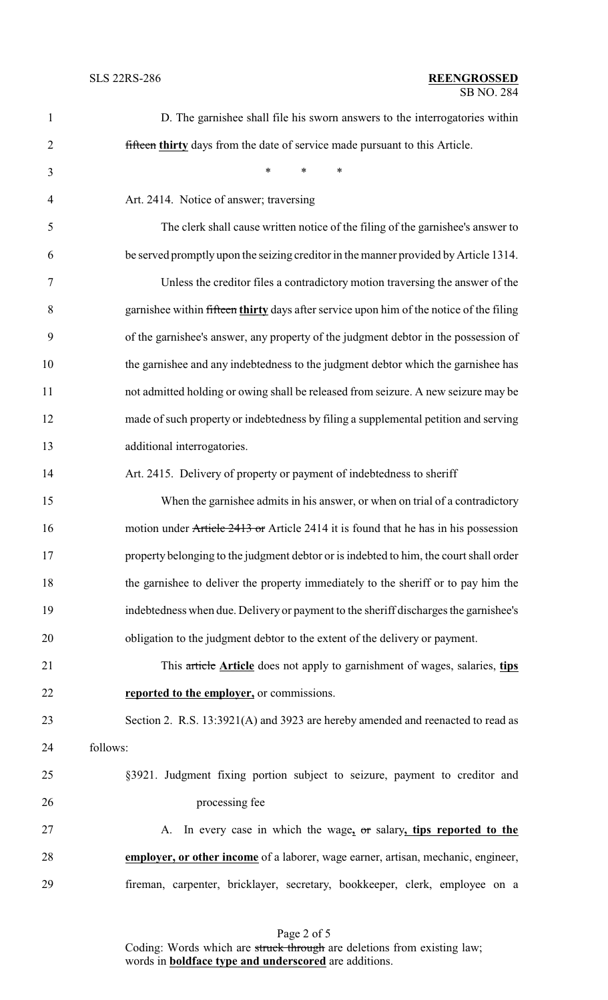| $\mathbf{1}$   | D. The garnishee shall file his sworn answers to the interrogatories within             |
|----------------|-----------------------------------------------------------------------------------------|
| $\overline{2}$ | fifteen thirty days from the date of service made pursuant to this Article.             |
| 3              | $\ast$<br>$\ast$<br>$\ast$                                                              |
| $\overline{4}$ | Art. 2414. Notice of answer; traversing                                                 |
| 5              | The clerk shall cause written notice of the filing of the garnishee's answer to         |
| 6              | be served promptly upon the seizing creditor in the manner provided by Article 1314.    |
| $\tau$         | Unless the creditor files a contradictory motion traversing the answer of the           |
| 8              | garnishee within fifteen thirty days after service upon him of the notice of the filing |
| 9              | of the garnishee's answer, any property of the judgment debtor in the possession of     |
| 10             | the garnishee and any indebtedness to the judgment debtor which the garnishee has       |
| 11             | not admitted holding or owing shall be released from seizure. A new seizure may be      |
| 12             | made of such property or indebtedness by filing a supplemental petition and serving     |
| 13             | additional interrogatories.                                                             |
| 14             | Art. 2415. Delivery of property or payment of indebtedness to sheriff                   |
| 15             | When the garnishee admits in his answer, or when on trial of a contradictory            |
| 16             | motion under Article 2413 or Article 2414 it is found that he has in his possession     |
| 17             | property belonging to the judgment debtor or is indebted to him, the court shall order  |
| 18             | the garnishee to deliver the property immediately to the sheriff or to pay him the      |
| 19             | indebtedness when due. Delivery or payment to the sheriff discharges the garnishee's    |
| 20             | obligation to the judgment debtor to the extent of the delivery or payment.             |
| 21             | This article Article does not apply to garnishment of wages, salaries, tips             |
| 22             | reported to the employer, or commissions.                                               |
| 23             | Section 2. R.S. 13:3921(A) and 3923 are hereby amended and reenacted to read as         |
| 24             | follows:                                                                                |
| 25             | §3921. Judgment fixing portion subject to seizure, payment to creditor and              |
| 26             | processing fee                                                                          |
| 27             | In every case in which the wage, or salary, tips reported to the<br>A.                  |
| 28             | employer, or other income of a laborer, wage earner, artisan, mechanic, engineer,       |
| 29             | fireman, carpenter, bricklayer, secretary, bookkeeper, clerk, employee on a             |
|                |                                                                                         |

Page 2 of 5 Coding: Words which are struck through are deletions from existing law; words in **boldface type and underscored** are additions.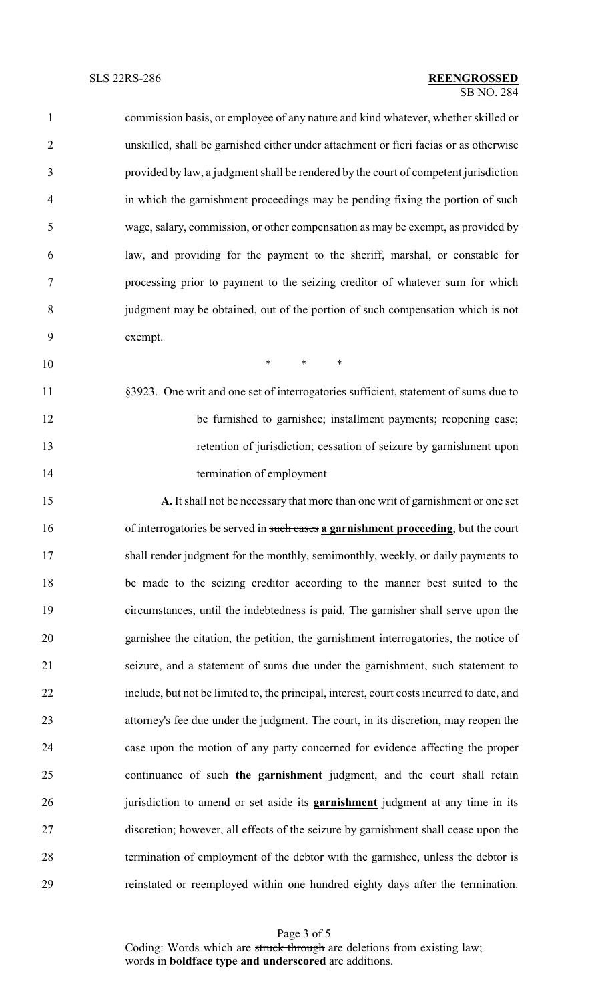commission basis, or employee of any nature and kind whatever, whether skilled or unskilled, shall be garnished either under attachment or fieri facias or as otherwise provided by law, a judgment shall be rendered by the court of competent jurisdiction in which the garnishment proceedings may be pending fixing the portion of such wage, salary, commission, or other compensation as may be exempt, as provided by law, and providing for the payment to the sheriff, marshal, or constable for processing prior to payment to the seizing creditor of whatever sum for which judgment may be obtained, out of the portion of such compensation which is not exempt.

\* \* \*

- §3923. One writ and one set of interrogatories sufficient, statement of sums due to 12 be furnished to garnishee; installment payments; reopening case; retention of jurisdiction; cessation of seizure by garnishment upon termination of employment
- **A.** It shall not be necessary that more than one writ of garnishment or one set of interrogatories be served in such cases **a garnishment proceeding**, but the court shall render judgment for the monthly, semimonthly, weekly, or daily payments to be made to the seizing creditor according to the manner best suited to the circumstances, until the indebtedness is paid. The garnisher shall serve upon the garnishee the citation, the petition, the garnishment interrogatories, the notice of seizure, and a statement of sums due under the garnishment, such statement to include, but not be limited to, the principal, interest, court costs incurred to date, and attorney's fee due under the judgment. The court, in its discretion, may reopen the case upon the motion of any party concerned for evidence affecting the proper continuance of such **the garnishment** judgment, and the court shall retain jurisdiction to amend or set aside its **garnishment** judgment at any time in its discretion; however, all effects of the seizure by garnishment shall cease upon the termination of employment of the debtor with the garnishee, unless the debtor is reinstated or reemployed within one hundred eighty days after the termination.

Page 3 of 5 Coding: Words which are struck through are deletions from existing law; words in **boldface type and underscored** are additions.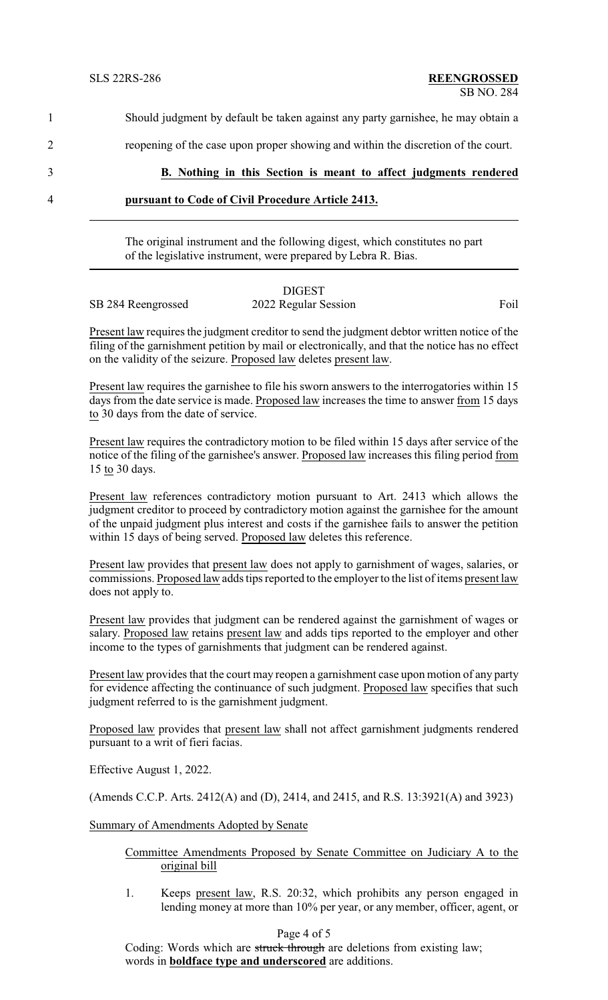| 4 | pursuant to Code of Civil Procedure Article 2413.                                 |
|---|-----------------------------------------------------------------------------------|
| 3 | B. Nothing in this Section is meant to affect judgments rendered                  |
| 2 | reopening of the case upon proper showing and within the discretion of the court. |
|   | Should judgment by default be taken against any party garnishee, he may obtain a  |

The original instrument and the following digest, which constitutes no part of the legislative instrument, were prepared by Lebra R. Bias.

|                    | <b>DIGEST</b>        |      |
|--------------------|----------------------|------|
| SB 284 Reengrossed | 2022 Regular Session | Foil |

Present law requires the judgment creditor to send the judgment debtor written notice of the filing of the garnishment petition by mail or electronically, and that the notice has no effect on the validity of the seizure. Proposed law deletes present law.

Present law requires the garnishee to file his sworn answers to the interrogatories within 15 days from the date service is made. Proposed law increases the time to answer from 15 days to 30 days from the date of service.

Present law requires the contradictory motion to be filed within 15 days after service of the notice of the filing of the garnishee's answer. Proposed law increases this filing period from 15 to 30 days.

Present law references contradictory motion pursuant to Art. 2413 which allows the judgment creditor to proceed by contradictory motion against the garnishee for the amount of the unpaid judgment plus interest and costs if the garnishee fails to answer the petition within 15 days of being served. Proposed law deletes this reference.

Present law provides that present law does not apply to garnishment of wages, salaries, or commissions. Proposed law adds tips reported to the employer to the list of items present law does not apply to.

Present law provides that judgment can be rendered against the garnishment of wages or salary. Proposed law retains present law and adds tips reported to the employer and other income to the types of garnishments that judgment can be rendered against.

Present law provides that the court may reopen a garnishment case upon motion of any party for evidence affecting the continuance of such judgment. Proposed law specifies that such judgment referred to is the garnishment judgment.

Proposed law provides that present law shall not affect garnishment judgments rendered pursuant to a writ of fieri facias.

Effective August 1, 2022.

(Amends C.C.P. Arts. 2412(A) and (D), 2414, and 2415, and R.S. 13:3921(A) and 3923)

Summary of Amendments Adopted by Senate

## Committee Amendments Proposed by Senate Committee on Judiciary A to the original bill

1. Keeps present law, R.S. 20:32, which prohibits any person engaged in lending money at more than 10% per year, or any member, officer, agent, or

## Page 4 of 5

Coding: Words which are struck through are deletions from existing law; words in **boldface type and underscored** are additions.